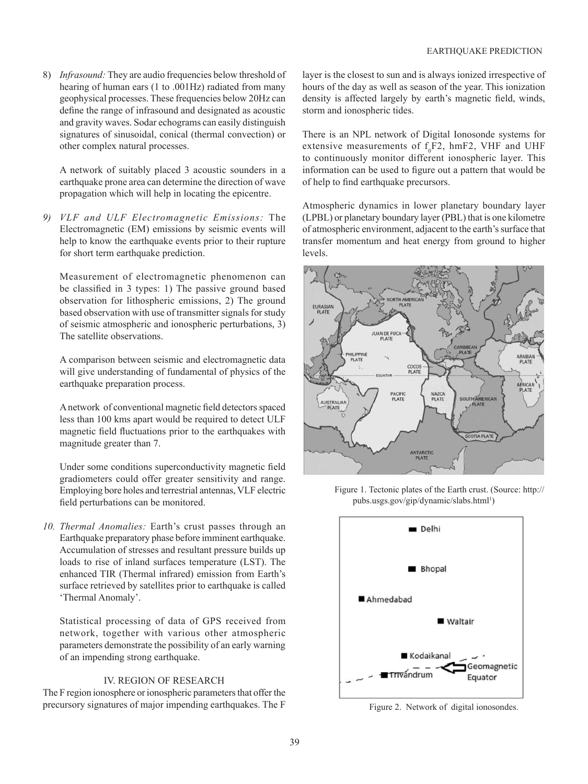8) *Infrasound:* They are audio frequencies below threshold of hearing of human ears (1 to .001Hz) radiated from many geophysical processes. These frequencies below 20Hz can define the range of infrasound and designated as acoustic and gravity waves. Sodar echograms can easily distinguish signatures of sinusoidal, conical (thermal convection) or other complex natural processes.

 A network of suitably placed 3 acoustic sounders in a earthquake prone area can determine the direction of wave propagation which will help in locating the epicentre.

*9) VLF and ULF Electromagnetic Emissions:* The Electromagnetic (EM) emissions by seismic events will help to know the earthquake events prior to their rupture for short term earthquake prediction.

 Measurement of electromagnetic phenomenon can be classified in 3 types: 1) The passive ground based observation for lithospheric emissions, 2) The ground based observation with use of transmitter signals for study of seismic atmospheric and ionospheric perturbations, 3) The satellite observations.

 A comparison between seismic and electromagnetic data will give understanding of fundamental of physics of the earthquake preparation process.

A network of conventional magnetic field detectors spaced less than 100 kms apart would be required to detect ULF magnetic field fluctuations prior to the earthquakes with magnitude greater than 7.

Under some conditions superconductivity magnetic field gradiometers could offer greater sensitivity and range. Employing bore holes and terrestrial antennas, VLF electric field perturbations can be monitored.

*10. Thermal Anomalies:* Earth's crust passes through an Earthquake preparatory phase before imminent earthquake. Accumulation of stresses and resultant pressure builds up loads to rise of inland surfaces temperature (LST). The enhanced TIR (Thermal infrared) emission from Earth's surface retrieved by satellites prior to earthquake is called 'Thermal Anomaly'.

 Statistical processing of data of GPS received from network, together with various other atmospheric parameters demonstrate the possibility of an early warning of an impending strong earthquake.

## IV. REGION OF RESEARCH

The F region ionosphere or ionospheric parameters that offer the precursory signatures of major impending earthquakes. The F layer is the closest to sun and is always ionized irrespective of hours of the day as well as season of the year. This ionization density is affected largely by earth's magnetic field, winds, storm and ionospheric tides.

There is an NPL network of Digital Ionosonde systems for extensive measurements of  $f_0F2$ , hmF2, VHF and UHF to continuously monitor different ionospheric layer. This information can be used to figure out a pattern that would be of help to find earthquake precursors.

Atmospheric dynamics in lower planetary boundary layer (LPBL) or planetary boundary layer (PBL) that is one kilometre of atmospheric environment, adjacent to the earth's surface that transfer momentum and heat energy from ground to higher levels.



 Figure 1. Tectonic plates of the Earth crust. (Source: http:// pubs.usgs.gov/gip/dynamic/slabs.html1 )



Figure 2. Network of digital ionosondes.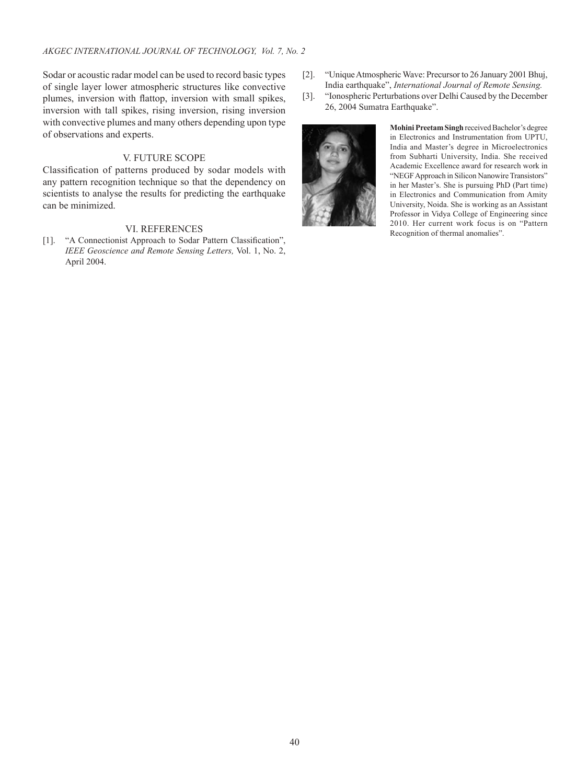Sodar or acoustic radar model can be used to record basic types of single layer lower atmospheric structures like convective plumes, inversion with flattop, inversion with small spikes, inversion with tall spikes, rising inversion, rising inversion with convective plumes and many others depending upon type of observations and experts.

## V. FUTURE SCOPE

Classification of patterns produced by sodar models with any pattern recognition technique so that the dependency on scientists to analyse the results for predicting the earthquake can be minimized.

## VI. REFERENCES

[1]. "A Connectionist Approach to Sodar Pattern Classification", *IEEE Geoscience and Remote Sensing Letters,* Vol. 1, No. 2, April 2004.

- [2]. "Unique Atmospheric Wave: Precursor to 26 January 2001 Bhuj, India earthquake", *International Journal of Remote Sensing.*
- [3]. "Ionospheric Perturbations over Delhi Caused by the December 26, 2004 Sumatra Earthquake".



**Mohini Preetam Singh** received Bachelor's degree in Electronics and Instrumentation from UPTU, India and Master's degree in Microelectronics from Subharti University, India. She received Academic Excellence award for research work in "NEGF Approach in Silicon Nanowire Transistors" in her Master's. She is pursuing PhD (Part time) in Electronics and Communication from Amity University, Noida. She is working as an Assistant Professor in Vidya College of Engineering since 2010. Her current work focus is on "Pattern Recognition of thermal anomalies".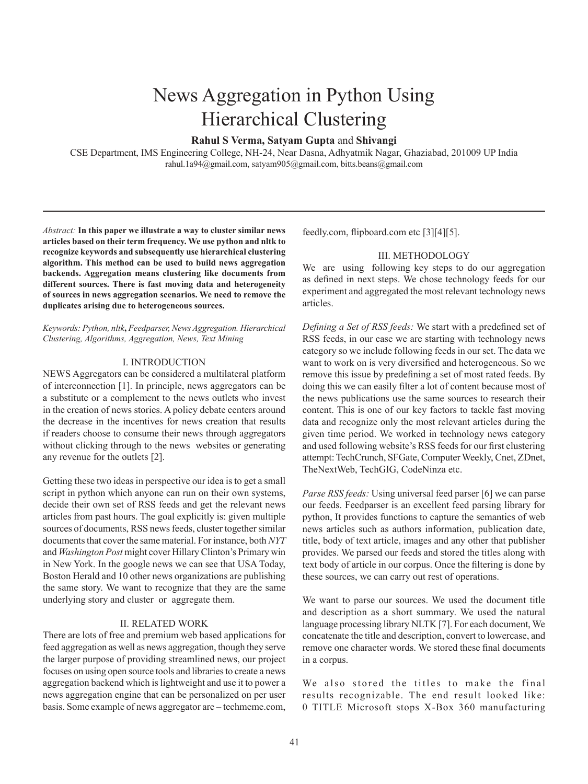# News Aggregation in Python Using Hierarchical Clustering

### **Rahul S Verma, Satyam Gupta** and **Shivangi**

CSE Department, IMS Engineering College, NH-24, Near Dasna, Adhyatmik Nagar, Ghaziabad, 201009 UP India rahul.1a94@gmail.com, satyam905@gmail.com, bitts.beans@gmail.com

*Abstract:* **In this paper we illustrate a way to cluster similar news articles based on their term frequency. We use python and nltk to recognize keywords and subsequently use hierarchical clustering algorithm. This method can be used to build news aggregation backends. Aggregation means clustering like documents from different sources. There is fast moving data and heterogeneity of sources in news aggregation scenarios. We need to remove the duplicates arising due to heterogeneous sources.**

*Keywords: Python, nltk***,** *Feedparser, News Aggregation. Hierarchical Clustering, Algorithms, Aggregation, News, Text Mining*

#### I. INTRODUCTION

NEWS Aggregators can be considered a multilateral platform of interconnection [1]. In principle, news aggregators can be a substitute or a complement to the news outlets who invest in the creation of news stories. A policy debate centers around the decrease in the incentives for news creation that results if readers choose to consume their news through aggregators without clicking through to the news websites or generating any revenue for the outlets [2].

Getting these two ideas in perspective our idea is to get a small script in python which anyone can run on their own systems, decide their own set of RSS feeds and get the relevant news articles from past hours. The goal explicitly is: given multiple sources of documents, RSS news feeds, cluster together similar documents that cover the same material. For instance, both *NYT*  and *Washington Post* might cover Hillary Clinton's Primary win in New York. In the google news we can see that USA Today, Boston Herald and 10 other news organizations are publishing the same story. We want to recognize that they are the same underlying story and cluster or aggregate them.

#### II. RELATED WORK

There are lots of free and premium web based applications for feed aggregation as well as news aggregation, though they serve the larger purpose of providing streamlined news, our project focuses on using open source tools and libraries to create a news aggregation backend which is lightweight and use it to power a news aggregation engine that can be personalized on per user basis. Some example of news aggregator are – techmeme.com, feedly.com, flipboard.com etc [3][4][5].

#### III. METHODOLOGY

We are using following key steps to do our aggregation as defined in next steps. We chose technology feeds for our experiment and aggregated the most relevant technology news articles.

*Defining a Set of RSS feeds:* We start with a predefined set of RSS feeds, in our case we are starting with technology news category so we include following feeds in our set. The data we want to work on is very diversified and heterogeneous. So we remove this issue by predefining a set of most rated feeds. By doing this we can easily filter a lot of content because most of the news publications use the same sources to research their content. This is one of our key factors to tackle fast moving data and recognize only the most relevant articles during the given time period. We worked in technology news category and used following website's RSS feeds for our first clustering attempt: TechCrunch, SFGate, Computer Weekly, Cnet, ZDnet, TheNextWeb, TechGIG, CodeNinza etc.

*Parse RSS feeds:* Using universal feed parser [6] we can parse our feeds. Feedparser is an excellent feed parsing library for python, It provides functions to capture the semantics of web news articles such as authors information, publication date, title, body of text article, images and any other that publisher provides. We parsed our feeds and stored the titles along with text body of article in our corpus. Once the filtering is done by these sources, we can carry out rest of operations.

We want to parse our sources. We used the document title and description as a short summary. We used the natural language processing library NLTK [7]. For each document, We concatenate the title and description, convert to lowercase, and remove one character words. We stored these final documents in a corpus.

We also stored the titles to make the final results recognizable. The end result looked like: 0 TITLE Microsoft stops X-Box 360 manufacturing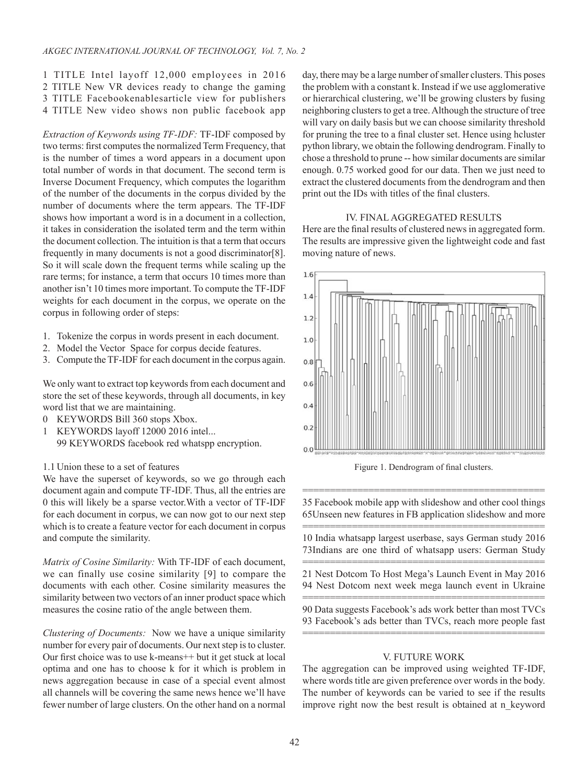1 TITLE Intel layoff 12,000 employees in 2016 2 TITLE New VR devices ready to change the gaming 3 TITLE Facebookenablesarticle view for publishers 4 TITLE New video shows non public facebook app

*Extraction of Keywords using TF-IDF:* TF-IDF composed by two terms: first computes the normalized Term Frequency, that is the number of times a word appears in a document upon total number of words in that document. The second term is Inverse Document Frequency, which computes the logarithm of the number of the documents in the corpus divided by the number of documents where the term appears. The TF-IDF shows how important a word is in a document in a collection, it takes in consideration the isolated term and the term within the document collection. The intuition is that a term that occurs frequently in many documents is not a good discriminator[8]. So it will scale down the frequent terms while scaling up the rare terms; for instance, a term that occurs 10 times more than another isn't 10 times more important. To compute the TF-IDF weights for each document in the corpus, we operate on the corpus in following order of steps:

- 1. Tokenize the corpus in words present in each document.
- 2. Model the Vector Space for corpus decide features.
- 3. Compute the TF-IDF for each document in the corpus again.

We only want to extract top keywords from each document and store the set of these keywords, through all documents, in key word list that we are maintaining.

- 0 KEYWORDS Bill 360 stops Xbox.
- 1 KEYWORDS layoff 12000 2016 intel... 99 KEYWORDS facebook red whatspp encryption.
- 1.1 Union these to a set of features

We have the superset of keywords, so we go through each document again and compute TF-IDF. Thus, all the entries are 0 this will likely be a sparse vector.With a vector of TF-IDF for each document in corpus, we can now got to our next step which is to create a feature vector for each document in corpus and compute the similarity.

*Matrix of Cosine Similarity:* With TF-IDF of each document, we can finally use cosine similarity [9] to compare the documents with each other. Cosine similarity measures the similarity between two vectors of an inner product space which measures the cosine ratio of the angle between them.

*Clustering of Documents:* Now we have a unique similarity number for every pair of documents. Our next step is to cluster. Our first choice was to use k-means++ but it get stuck at local optima and one has to choose k for it which is problem in news aggregation because in case of a special event almost all channels will be covering the same news hence we'll have fewer number of large clusters. On the other hand on a normal

day, there may be a large number of smaller clusters. This poses the problem with a constant k. Instead if we use agglomerative or hierarchical clustering, we'll be growing clusters by fusing neighboring clusters to get a tree. Although the structure of tree will vary on daily basis but we can choose similarity threshold for pruning the tree to a final cluster set. Hence using hcluster python library, we obtain the following dendrogram. Finally to chose a threshold to prune -- how similar documents are similar enough. 0.75 worked good for our data. Then we just need to extract the clustered documents from the dendrogram and then print out the IDs with titles of the final clusters.

## IV. FINAL AGGREGATED RESULTS

Here are the final results of clustered news in aggregated form. The results are impressive given the lightweight code and fast moving nature of news.



Figure 1. Dendrogram of final clusters.

============================================ 35 Facebook mobile app with slideshow and other cool things 65Unseen new features in FB application slideshow and more ============================================

10 India whatsapp largest userbase, says German study 2016 73Indians are one third of whatsapp users: German Study

============================================ 21 Nest Dotcom To Host Mega's Launch Event in May 2016 94 Nest Dotcom next week mega launch event in Ukraine

============================================ 90 Data suggests Facebook's ads work better than most TVCs 93 Facebook's ads better than TVCs, reach more people fast ============================================

## V. FUTURE WORK

The aggregation can be improved using weighted TF-IDF, where words title are given preference over words in the body. The number of keywords can be varied to see if the results improve right now the best result is obtained at n\_keyword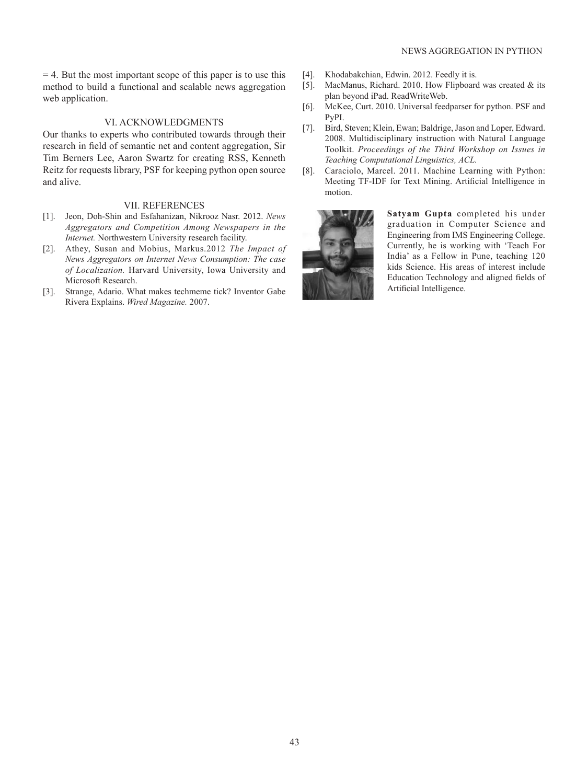#### NEWS AGGREGATION IN PYTHON

 $= 4$ . But the most important scope of this paper is to use this method to build a functional and scalable news aggregation web application.

#### VI. ACKNOWLEDGMENTS

Our thanks to experts who contributed towards through their research in field of semantic net and content aggregation, Sir Tim Berners Lee, Aaron Swartz for creating RSS, Kenneth Reitz for requests library, PSF for keeping python open source and alive.

#### VII. REFERENCES

- [1]. Jeon, Doh-Shin and Esfahanizan, Nikrooz Nasr. 2012. *News Aggregators and Competition Among Newspapers in the Internet.* Northwestern University research facility.
- [2]. Athey, Susan and Mobius, Markus.2012 *The Impact of News Aggregators on Internet News Consumption: The case of Localization.* Harvard University, Iowa University and Microsoft Research.
- [3]. Strange, Adario. What makes techmeme tick? Inventor Gabe Rivera Explains. *Wired Magazine.* 2007.
- [4]. Khodabakchian, Edwin. 2012. Feedly it is.
- [5]. MacManus, Richard. 2010. How Flipboard was created & its plan beyond iPad. ReadWriteWeb.
- [6]. McKee, Curt. 2010. Universal feedparser for python. PSF and PyPI.
- [7]. Bird, Steven; Klein, Ewan; Baldrige, Jason and Loper, Edward. 2008. Multidisciplinary instruction with Natural Language Toolkit. *Proceedings of the Third Workshop on Issues in Teaching Computational Linguistics, ACL.*
- [8]. Caraciolo, Marcel. 2011. Machine Learning with Python: Meeting TF-IDF for Text Mining. Artificial Intelligence in motion.



**Satyam Gupta** completed his under graduation in Computer Science and Engineering from IMS Engineering College. Currently, he is working with 'Teach For India' as a Fellow in Pune, teaching 120 kids Science. His areas of interest include Education Technology and aligned fields of Artificial Intelligence.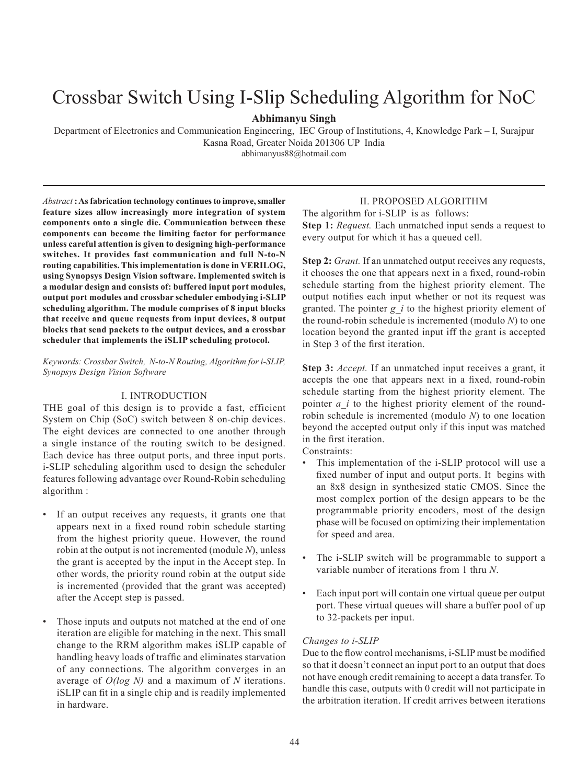# Crossbar Switch Using I-Slip Scheduling Algorithm for NoC

## **Abhimanyu Singh**

Department of Electronics and Communication Engineering, IEC Group of Institutions, 4, Knowledge Park – I, Surajpur Kasna Road, Greater Noida 201306 UP India

abhimanyus88@hotmail.com

*Abstract* **: As fabrication technology continues to improve, smaller feature sizes allow increasingly more integration of system components onto a single die. Communication between these components can become the limiting factor for performance unless careful attention is given to designing high-performance switches. It provides fast communication and full N-to-N routing capabilities. This implementation is done in VERILOG, using Synopsys Design Vision software. Implemented switch is a modular design and consists of: buffered input port modules, output port modules and crossbar scheduler embodying i-SLIP scheduling algorithm. The module comprises of 8 input blocks that receive and queue requests from input devices, 8 output blocks that send packets to the output devices, and a crossbar scheduler that implements the iSLIP scheduling protocol.**

*Keywords: Crossbar Switch, N-to-N Routing, Algorithm for i-SLIP, Synopsys Design Vision Software*

#### I. INTRODUCTION

THE goal of this design is to provide a fast, efficient System on Chip (SoC) switch between 8 on-chip devices. The eight devices are connected to one another through a single instance of the routing switch to be designed. Each device has three output ports, and three input ports. i-SLIP scheduling algorithm used to design the scheduler features following advantage over Round-Robin scheduling algorithm :

- If an output receives any requests, it grants one that appears next in a fixed round robin schedule starting from the highest priority queue. However, the round robin at the output is not incremented (module *N*), unless the grant is accepted by the input in the Accept step. In other words, the priority round robin at the output side is incremented (provided that the grant was accepted) after the Accept step is passed.
- Those inputs and outputs not matched at the end of one iteration are eligible for matching in the next. This small change to the RRM algorithm makes iSLIP capable of handling heavy loads of traffic and eliminates starvation of any connections. The algorithm converges in an average of *O(log N)* and a maximum of *N* iterations. iSLIP can fit in a single chip and is readily implemented in hardware.

## II. PROPOSED ALGORITHM

The algorithm for i-SLIP is as follows: **Step 1:** *Request.* Each unmatched input sends a request to every output for which it has a queued cell.

**Step 2:** *Grant.* If an unmatched output receives any requests, it chooses the one that appears next in a fixed, round-robin schedule starting from the highest priority element. The output notifies each input whether or not its request was granted. The pointer *g\_i* to the highest priority element of the round-robin schedule is incremented (modulo *N*) to one location beyond the granted input iff the grant is accepted in Step 3 of the first iteration.

**Step 3:** *Accept.* If an unmatched input receives a grant, it accepts the one that appears next in a fixed, round-robin schedule starting from the highest priority element. The pointer *a\_i* to the highest priority element of the roundrobin schedule is incremented (modulo *N*) to one location beyond the accepted output only if this input was matched in the first iteration.

Constraints:

- This implementation of the i-SLIP protocol will use a fixed number of input and output ports. It begins with an 8x8 design in synthesized static CMOS. Since the most complex portion of the design appears to be the programmable priority encoders, most of the design phase will be focused on optimizing their implementation for speed and area.
- The i-SLIP switch will be programmable to support a variable number of iterations from 1 thru *N*.
- Each input port will contain one virtual queue per output port. These virtual queues will share a buffer pool of up to 32-packets per input.

#### *Changes to i-SLIP*

Due to the flow control mechanisms, i-SLIP must be modified so that it doesn't connect an input port to an output that does not have enough credit remaining to accept a data transfer. To handle this case, outputs with 0 credit will not participate in the arbitration iteration. If credit arrives between iterations